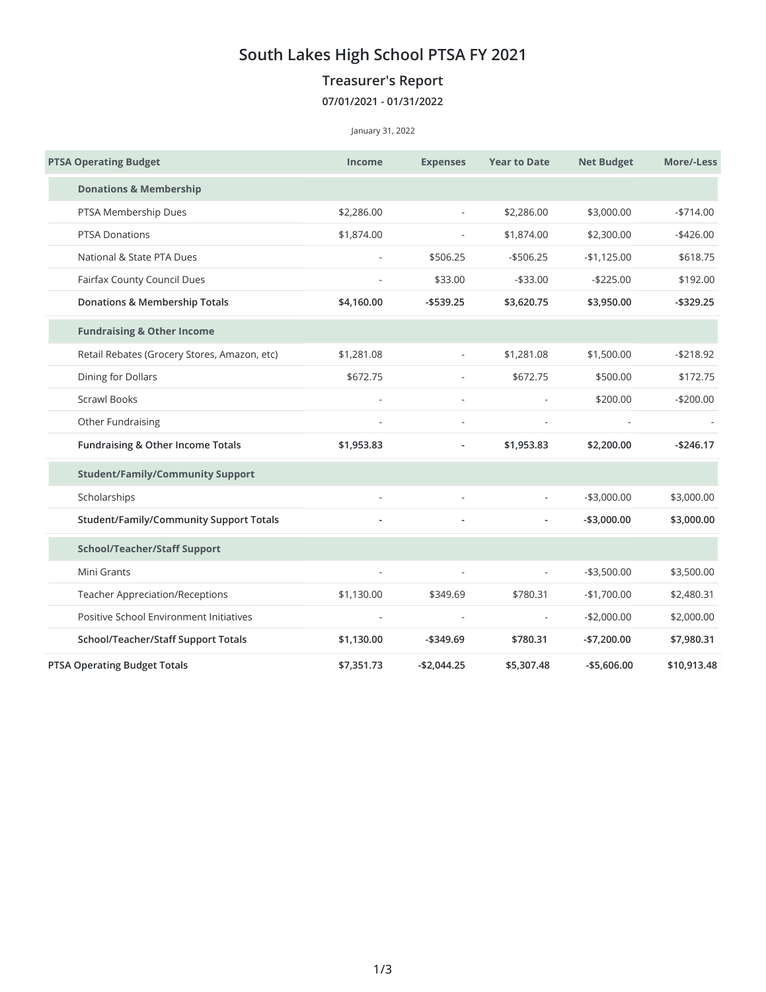## **South Lakes High School PTSA FY 2021**

## **Treasurer's Report**

## **07/01/2021 - 01/31/2022**

## January 31, 2022

| <b>PTSA Operating Budget</b>                 | <b>Income</b>            | <b>Expenses</b>            | <b>Year to Date</b>      | <b>Net Budget</b> | More/-Less   |
|----------------------------------------------|--------------------------|----------------------------|--------------------------|-------------------|--------------|
| <b>Donations &amp; Membership</b>            |                          |                            |                          |                   |              |
| PTSA Membership Dues                         | \$2,286.00               | $\sim$                     | \$2,286.00               | \$3,000.00        | $-$714.00$   |
| <b>PTSA Donations</b>                        | \$1,874.00               | \$1,874.00                 |                          | \$2,300.00        | $-$ \$426.00 |
| National & State PTA Dues                    | $\overline{\phantom{a}}$ | \$506.25                   | $-$ \$506.25             | $-$1,125.00$      | \$618.75     |
| Fairfax County Council Dues                  |                          | \$33.00                    | $- $33.00$               | $-$225.00$        | \$192.00     |
| <b>Donations &amp; Membership Totals</b>     | \$4,160.00               | $-$ \$539.25<br>\$3,620.75 |                          | \$3,950.00        | $-$ \$329.25 |
| <b>Fundraising &amp; Other Income</b>        |                          |                            |                          |                   |              |
| Retail Rebates (Grocery Stores, Amazon, etc) | \$1,281.08               | $\overline{\phantom{a}}$   | \$1,281.08               | \$1,500.00        | $-$218.92$   |
| Dining for Dollars                           | \$672.75                 | $\overline{\phantom{a}}$   | \$672.75                 | \$500.00          | \$172.75     |
| <b>Scrawl Books</b>                          |                          | $\sim$                     |                          | \$200.00          | $-$200.00$   |
| Other Fundraising                            |                          |                            |                          |                   |              |
| Fundraising & Other Income Totals            | \$1,953.83               | $\overline{a}$             | \$1,953.83               | \$2,200.00        | $-$246.17$   |
| <b>Student/Family/Community Support</b>      |                          |                            |                          |                   |              |
| Scholarships                                 | $\overline{\phantom{a}}$ | $\sim$                     |                          | $-$3,000.00$      | \$3,000.00   |
| Student/Family/Community Support Totals      |                          |                            |                          | $- $3,000.00$     | \$3,000.00   |
| <b>School/Teacher/Staff Support</b>          |                          |                            |                          |                   |              |
| Mini Grants                                  | $\overline{a}$           | $\sim$                     | $\overline{\phantom{a}}$ | $- $3,500.00$     | \$3,500.00   |
| <b>Teacher Appreciation/Receptions</b>       | \$1,130.00               | \$349.69                   | \$780.31                 | $-$1,700.00$      | \$2,480.31   |
| Positive School Environment Initiatives      |                          | $\overline{a}$             | $\overline{\phantom{a}}$ | $-$2,000.00$      | \$2,000.00   |
| School/Teacher/Staff Support Totals          | \$1,130.00               | $-$ \$349.69               | \$780.31                 | $-$7,200.00$      | \$7,980.31   |
| <b>PTSA Operating Budget Totals</b>          | \$7,351.73               | $-$2,044.25$               | \$5,307.48               | $-$5,606.00$      | \$10,913.48  |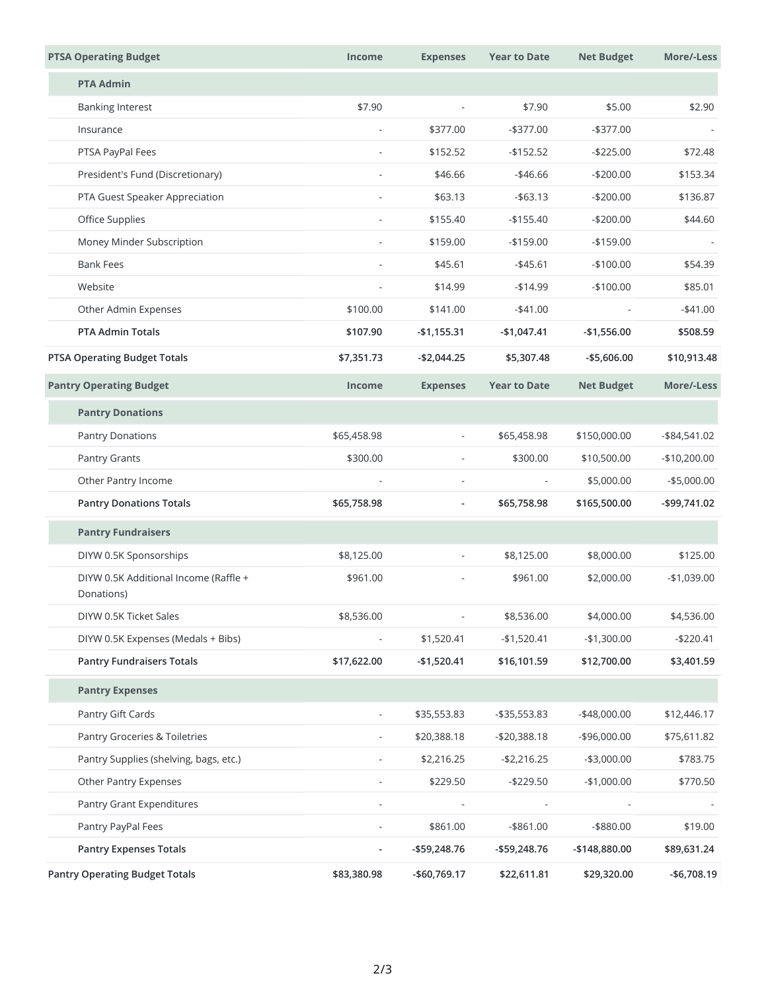| <b>PTSA Operating Budget</b>                        | <b>Income</b>            | <b>Expenses</b>                                      | <b>Year to Date</b>                                 | <b>Net Budget</b>                         | More/-Less                                    |
|-----------------------------------------------------|--------------------------|------------------------------------------------------|-----------------------------------------------------|-------------------------------------------|-----------------------------------------------|
| <b>PTA Admin</b>                                    |                          |                                                      |                                                     |                                           |                                               |
| <b>Banking Interest</b>                             | \$7.90                   | $\overline{\phantom{a}}$                             | \$7.90                                              | \$5.00                                    | \$2.90                                        |
| Insurance                                           | $\overline{\phantom{a}}$ | \$377.00                                             | $-$377.00$                                          | $-$ \$377.00                              |                                               |
| PTSA PayPal Fees                                    | $\overline{\phantom{a}}$ | \$152.52                                             | $-$152.52$                                          | $-$225.00$                                | \$72.48                                       |
| President's Fund (Discretionary)                    |                          | \$46.66                                              | $-$ \$46.66                                         | $-$200.00$                                | \$153.34                                      |
| PTA Guest Speaker Appreciation                      | $\overline{\phantom{a}}$ | \$63.13                                              | $-$ \$63.13                                         | $-$200.00$                                | \$136.87                                      |
| Office Supplies                                     |                          | \$155.40                                             | $-$155.40$                                          | $-$200.00$                                | \$44.60                                       |
| Money Minder Subscription                           | $\overline{\phantom{a}}$ | \$159.00                                             | $-$159.00$                                          | $-$159.00$                                |                                               |
| <b>Bank Fees</b>                                    |                          | \$45.61                                              | $-$ \$45.61                                         | $-$100.00$                                | \$54.39                                       |
| Website                                             | ä,                       | \$14.99                                              | $-$14.99$                                           | $-$100.00$                                | \$85.01                                       |
| Other Admin Expenses                                | \$100.00                 | \$141.00                                             | $-$41.00$                                           | $\overline{\phantom{a}}$                  | $-$41.00$                                     |
| <b>PTA Admin Totals</b>                             | \$107.90                 | $-$1,155.31$                                         | $-$1,047.41$                                        | $-$1,556.00$                              | \$508.59                                      |
| <b>PTSA Operating Budget Totals</b>                 | \$7,351.73               | $-$2,044.25$                                         | \$5,307.48                                          | $-$5,606.00$                              | \$10,913.48                                   |
| <b>Pantry Operating Budget</b>                      | <b>Income</b>            | <b>Expenses</b>                                      | <b>Year to Date</b>                                 | <b>Net Budget</b>                         | More/-Less                                    |
| <b>Pantry Donations</b>                             |                          |                                                      |                                                     |                                           |                                               |
| <b>Pantry Donations</b>                             | \$65,458.98              | $\overline{\phantom{a}}$                             | \$65,458.98                                         | \$150,000.00                              | $-$ \$84,541.02                               |
| Pantry Grants                                       | \$300.00                 | $\overline{\phantom{a}}$<br>$\overline{\phantom{0}}$ | \$300.00<br>$\overline{\phantom{a}}$<br>\$65,758.98 | \$10,500.00<br>\$5,000.00<br>\$165,500.00 | $-$10,200.00$<br>$-$5,000.00$<br>-\$99,741.02 |
| Other Pantry Income                                 |                          |                                                      |                                                     |                                           |                                               |
| <b>Pantry Donations Totals</b>                      | \$65,758.98              |                                                      |                                                     |                                           |                                               |
| <b>Pantry Fundraisers</b>                           |                          |                                                      |                                                     |                                           |                                               |
| DIYW 0.5K Sponsorships                              | \$8,125.00               |                                                      | \$8,125.00                                          | \$8,000.00                                | \$125.00                                      |
| DIYW 0.5K Additional Income (Raffle +<br>Donations) | \$961.00                 |                                                      | \$961.00                                            | \$2,000.00                                | $-$1,039.00$                                  |
| DIYW 0.5K Ticket Sales                              | \$8,536.00               |                                                      | \$8,536.00                                          | \$4,000.00                                | \$4,536.00                                    |
| DIYW 0.5K Expenses (Medals + Bibs)                  |                          | \$1,520.41                                           | $-$1,520.41$                                        | $-$1,300.00$                              | $-$220.41$                                    |
| <b>Pantry Fundraisers Totals</b>                    | \$17,622.00              | $-$1,520.41$                                         | \$16,101.59                                         | \$12,700.00                               | \$3,401.59                                    |
| <b>Pantry Expenses</b>                              |                          |                                                      |                                                     |                                           |                                               |
| Pantry Gift Cards                                   | $\overline{\phantom{a}}$ | \$35,553.83                                          | -\$35,553.83                                        | -\$48,000.00                              | \$12,446.17                                   |
| Pantry Groceries & Toiletries                       |                          | \$20,388.18                                          | $-$20,388.18$                                       | $-$ \$96,000.00                           | \$75,611.82                                   |
| Pantry Supplies (shelving, bags, etc.)              |                          | \$2,216.25                                           | $- $2,216.25$                                       | $-$3,000.00$                              | \$783.75                                      |
| Other Pantry Expenses                               | ٠                        | \$229.50                                             | $-$229.50$                                          | $-$1,000.00$                              | \$770.50                                      |
| Pantry Grant Expenditures                           |                          |                                                      |                                                     |                                           |                                               |
| Pantry PayPal Fees                                  | $\overline{\phantom{a}}$ | \$861.00                                             | $-$ \$861.00                                        | $-$ \$880.00                              | \$19.00                                       |
| <b>Pantry Expenses Totals</b>                       |                          | -\$59,248.76                                         | -\$59,248.76                                        | -\$148,880.00                             | \$89,631.24                                   |
| <b>Pantry Operating Budget Totals</b>               | \$83,380.98              | -\$60,769.17                                         | \$22,611.81                                         | \$29,320.00                               | $-$6,708.19$                                  |